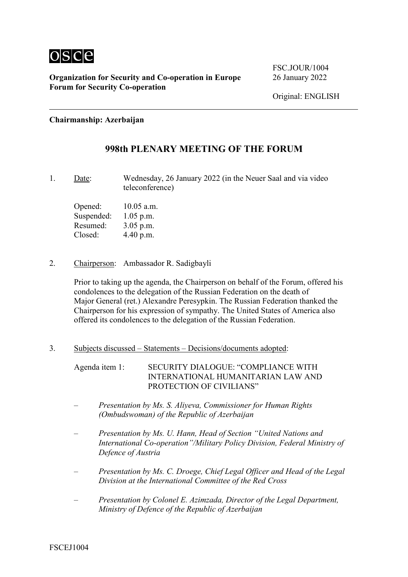

FSC. JOUR/1004

**Chairmanship: Azerbaijan**

### **998th PLENARY MEETING OF THE FORUM**

1. Date: Wednesday, 26 January 2022 (in the Neuer Saal and via video teleconference)

Opened: 10.05 a.m. Suspended: 1.05 p.m. Resumed: 3.05 p.m. Closed: 4.40 p.m.

2. Chairperson: Ambassador R. Sadigbayli

Prior to taking up the agenda, the Chairperson on behalf of the Forum, offered his condolences to the delegation of the Russian Federation on the death of Major General (ret.) Alexandre Peresypkin. The Russian Federation thanked the Chairperson for his expression of sympathy. The United States of America also offered its condolences to the delegation of the Russian Federation.

3. Subjects discussed – Statements – Decisions/documents adopted:

Agenda item 1: SECURITY DIALOGUE: "COMPLIANCE WITH INTERNATIONAL HUMANITARIAN LAW AND PROTECTION OF CIVILIANS"

- *Presentation by Ms. S. Aliyeva, Commissioner for Human Rights (Ombudswoman) of the Republic of Azerbaijan*
- *Presentation by Ms. U. Hann, Head of Section "United Nations and International Co-operation"/Military Policy Division, Federal Ministry of Defence of Austria*
- *Presentation by Ms. C. Droege, Chief Legal Officer and Head of the Legal Division at the International Committee of the Red Cross*
- *Presentation by Colonel E. Azimzada, Director of the Legal Department, Ministry of Defence of the Republic of Azerbaijan*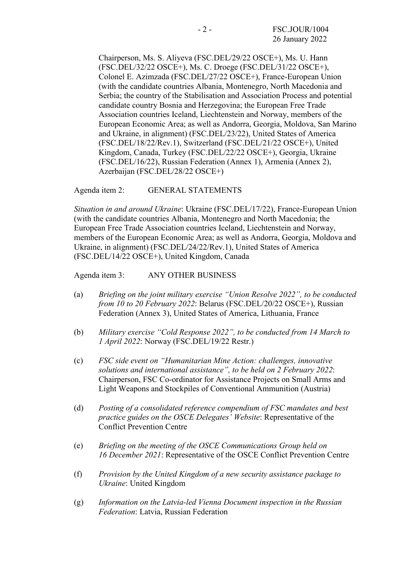Chairperson, Ms. S. Aliyeva (FSC.DEL/29/22 OSCE+), Ms. U. Hann (FSC.DEL/32/22 OSCE+), Ms. C. Droege (FSC.DEL/31/22 OSCE+), Colonel E. Azimzada (FSC.DEL/27/22 OSCE+), France‑European Union (with the candidate countries Albania, Montenegro, North Macedonia and Serbia; the country of the Stabilisation and Association Process and potential candidate country Bosnia and Herzegovina; the European Free Trade Association countries Iceland, Liechtenstein and Norway, members of the European Economic Area; as well as Andorra, Georgia, Moldova, San Marino and Ukraine, in alignment) (FSC.DEL/23/22), United States of America (FSC.DEL/18/22/Rev.1), Switzerland (FSC.DEL/21/22 OSCE+), United Kingdom, Canada, Turkey (FSC.DEL/22/22 OSCE+), Georgia, Ukraine (FSC.DEL/16/22), Russian Federation (Annex 1), Armenia (Annex 2), Azerbaijan (FSC.DEL/28/22 OSCE+)

Agenda item 2: GENERAL STATEMENTS

*Situation in and around Ukraine*: Ukraine (FSC.DEL/17/22), France‑European Union (with the candidate countries Albania, Montenegro and North Macedonia; the European Free Trade Association countries Iceland, Liechtenstein and Norway, members of the European Economic Area; as well as Andorra, Georgia, Moldova and Ukraine, in alignment) (FSC.DEL/24/22/Rev.1), United States of America (FSC.DEL/14/22 OSCE+), United Kingdom, Canada

Agenda item 3: ANY OTHER BUSINESS

- (a) *Briefing on the joint military exercise "Union Resolve 2022", to be conducted from 10 to 20 February 2022*: Belarus (FSC.DEL/20/22 OSCE+), Russian Federation (Annex 3), United States of America, Lithuania, France
- (b) *Military exercise "Cold Response 2022", to be conducted from 14 March to 1 April 2022*: Norway (FSC.DEL/19/22 Restr.)
- (c) *FSC side event on "Humanitarian Mine Action: challenges, innovative solutions and international assistance", to be held on 2 February 2022*: Chairperson, FSC Co-ordinator for Assistance Projects on Small Arms and Light Weapons and Stockpiles of Conventional Ammunition (Austria)
- (d) *Posting of a consolidated reference compendium of FSC mandates and best practice guides on the OSCE Delegates' Website*: Representative of the Conflict Prevention Centre
- (e) *Briefing on the meeting of the OSCE Communications Group held on 16 December 2021*: Representative of the OSCE Conflict Prevention Centre
- (f) *Provision by the United Kingdom of a new security assistance package to Ukraine*: United Kingdom
- (g) *Information on the Latvia-led Vienna Document inspection in the Russian Federation*: Latvia, Russian Federation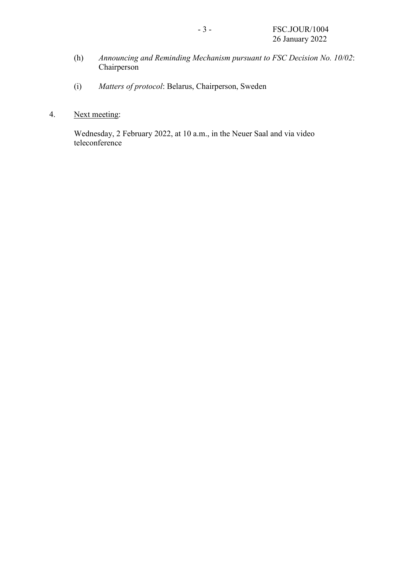- (h) *Announcing and Reminding Mechanism pursuant to FSC Decision No. 10/02*: Chairperson
- (i) *Matters of protocol*: Belarus, Chairperson, Sweden

### 4. Next meeting:

Wednesday, 2 February 2022, at 10 a.m., in the Neuer Saal and via video teleconference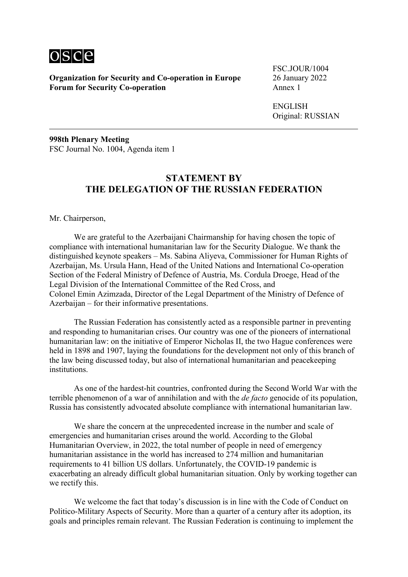

FSC.JOUR/1004

ENGLISH Original: RUSSIAN

**998th Plenary Meeting** FSC Journal No. 1004, Agenda item 1

### **STATEMENT BY THE DELEGATION OF THE RUSSIAN FEDERATION**

Mr. Chairperson,

We are grateful to the Azerbaijani Chairmanship for having chosen the topic of compliance with international humanitarian law for the Security Dialogue. We thank the distinguished keynote speakers – Ms. Sabina Aliyeva, Commissioner for Human Rights of Azerbaijan, Ms. Ursula Hann, Head of the United Nations and International Co-operation Section of the Federal Ministry of Defence of Austria, Ms. Cordula Droege, Head of the Legal Division of the International Committee of the Red Cross, and Colonel Emin Azimzada, Director of the Legal Department of the Ministry of Defence of Azerbaijan – for their informative presentations.

The Russian Federation has consistently acted as a responsible partner in preventing and responding to humanitarian crises. Our country was one of the pioneers of international humanitarian law: on the initiative of Emperor Nicholas II, the two Hague conferences were held in 1898 and 1907, laying the foundations for the development not only of this branch of the law being discussed today, but also of international humanitarian and peacekeeping institutions.

As one of the hardest-hit countries, confronted during the Second World War with the terrible phenomenon of a war of annihilation and with the *de facto* genocide of its population, Russia has consistently advocated absolute compliance with international humanitarian law.

We share the concern at the unprecedented increase in the number and scale of emergencies and humanitarian crises around the world. According to the Global Humanitarian Overview, in 2022, the total number of people in need of emergency humanitarian assistance in the world has increased to 274 million and humanitarian requirements to 41 billion US dollars. Unfortunately, the COVID-19 pandemic is exacerbating an already difficult global humanitarian situation. Only by working together can we rectify this.

We welcome the fact that today's discussion is in line with the Code of Conduct on Politico-Military Aspects of Security. More than a quarter of a century after its adoption, its goals and principles remain relevant. The Russian Federation is continuing to implement the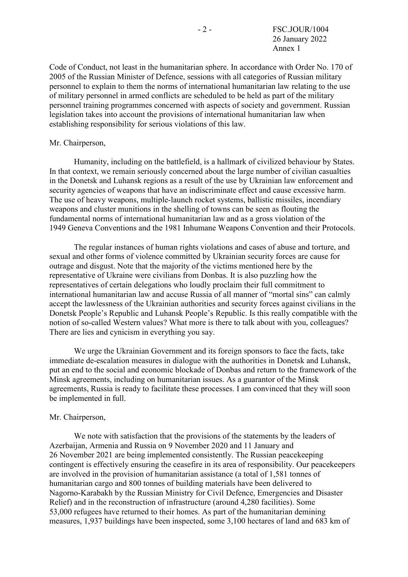Code of Conduct, not least in the humanitarian sphere. In accordance with Order No. 170 of 2005 of the Russian Minister of Defence, sessions with all categories of Russian military personnel to explain to them the norms of international humanitarian law relating to the use of military personnel in armed conflicts are scheduled to be held as part of the military personnel training programmes concerned with aspects of society and government. Russian legislation takes into account the provisions of international humanitarian law when establishing responsibility for serious violations of this law.

#### Mr. Chairperson,

Humanity, including on the battlefield, is a hallmark of civilized behaviour by States. In that context, we remain seriously concerned about the large number of civilian casualties in the Donetsk and Luhansk regions as a result of the use by Ukrainian law enforcement and security agencies of weapons that have an indiscriminate effect and cause excessive harm. The use of heavy weapons, multiple-launch rocket systems, ballistic missiles, incendiary weapons and cluster munitions in the shelling of towns can be seen as flouting the fundamental norms of international humanitarian law and as a gross violation of the 1949 Geneva Conventions and the 1981 Inhumane Weapons Convention and their Protocols.

The regular instances of human rights violations and cases of abuse and torture, and sexual and other forms of violence committed by Ukrainian security forces are cause for outrage and disgust. Note that the majority of the victims mentioned here by the representative of Ukraine were civilians from Donbas. It is also puzzling how the representatives of certain delegations who loudly proclaim their full commitment to international humanitarian law and accuse Russia of all manner of "mortal sins" can calmly accept the lawlessness of the Ukrainian authorities and security forces against civilians in the Donetsk People's Republic and Luhansk People's Republic. Is this really compatible with the notion of so-called Western values? What more is there to talk about with you, colleagues? There are lies and cynicism in everything you say.

We urge the Ukrainian Government and its foreign sponsors to face the facts, take immediate de-escalation measures in dialogue with the authorities in Donetsk and Luhansk, put an end to the social and economic blockade of Donbas and return to the framework of the Minsk agreements, including on humanitarian issues. As a guarantor of the Minsk agreements, Russia is ready to facilitate these processes. I am convinced that they will soon be implemented in full.

#### Mr. Chairperson,

We note with satisfaction that the provisions of the statements by the leaders of Azerbaijan, Armenia and Russia on 9 November 2020 and 11 January and 26 November 2021 are being implemented consistently. The Russian peacekeeping contingent is effectively ensuring the ceasefire in its area of responsibility. Our peacekeepers are involved in the provision of humanitarian assistance (a total of 1,581 tonnes of humanitarian cargo and 800 tonnes of building materials have been delivered to Nagorno‑Karabakh by the Russian Ministry for Civil Defence, Emergencies and Disaster Relief) and in the reconstruction of infrastructure (around 4,280 facilities). Some 53,000 refugees have returned to their homes. As part of the humanitarian demining measures, 1,937 buildings have been inspected, some 3,100 hectares of land and 683 km of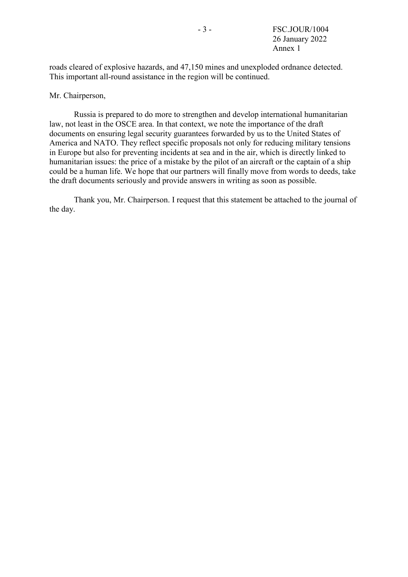roads cleared of explosive hazards, and 47,150 mines and unexploded ordnance detected. This important all-round assistance in the region will be continued.

### Mr. Chairperson,

Russia is prepared to do more to strengthen and develop international humanitarian law, not least in the OSCE area. In that context, we note the importance of the draft documents on ensuring legal security guarantees forwarded by us to the United States of America and NATO. They reflect specific proposals not only for reducing military tensions in Europe but also for preventing incidents at sea and in the air, which is directly linked to humanitarian issues: the price of a mistake by the pilot of an aircraft or the captain of a ship could be a human life. We hope that our partners will finally move from words to deeds, take the draft documents seriously and provide answers in writing as soon as possible.

Thank you, Mr. Chairperson. I request that this statement be attached to the journal of the day.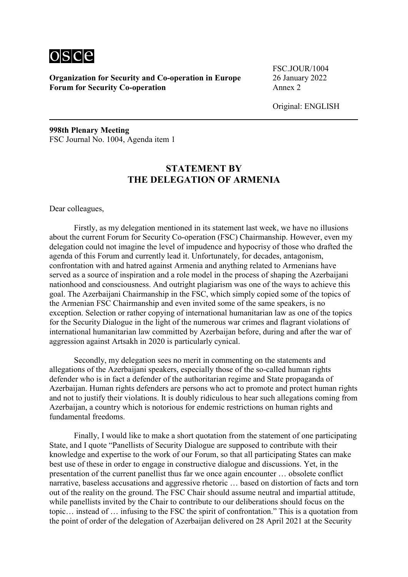

FSC.JOUR/1004

Original: ENGLISH

**998th Plenary Meeting** FSC Journal No. 1004, Agenda item 1

# **STATEMENT BY THE DELEGATION OF ARMENIA**

Dear colleagues,

Firstly, as my delegation mentioned in its statement last week, we have no illusions about the current Forum for Security Co-operation (FSC) Chairmanship. However, even my delegation could not imagine the level of impudence and hypocrisy of those who drafted the agenda of this Forum and currently lead it. Unfortunately, for decades, antagonism, confrontation with and hatred against Armenia and anything related to Armenians have served as a source of inspiration and a role model in the process of shaping the Azerbaijani nationhood and consciousness. And outright plagiarism was one of the ways to achieve this goal. The Azerbaijani Chairmanship in the FSC, which simply copied some of the topics of the Armenian FSC Chairmanship and even invited some of the same speakers, is no exception. Selection or rather copying of international humanitarian law as one of the topics for the Security Dialogue in the light of the numerous war crimes and flagrant violations of international humanitarian law committed by Azerbaijan before, during and after the war of aggression against Artsakh in 2020 is particularly cynical.

Secondly, my delegation sees no merit in commenting on the statements and allegations of the Azerbaijani speakers, especially those of the so-called human rights defender who is in fact a defender of the authoritarian regime and State propaganda of Azerbaijan. Human rights defenders are persons who act to promote and protect human rights and not to justify their violations. It is doubly ridiculous to hear such allegations coming from Azerbaijan, a country which is notorious for endemic restrictions on human rights and fundamental freedoms.

Finally, I would like to make a short quotation from the statement of one participating State, and I quote "Panellists of Security Dialogue are supposed to contribute with their knowledge and expertise to the work of our Forum, so that all participating States can make best use of these in order to engage in constructive dialogue and discussions. Yet, in the presentation of the current panellist thus far we once again encounter … obsolete conflict narrative, baseless accusations and aggressive rhetoric … based on distortion of facts and torn out of the reality on the ground. The FSC Chair should assume neutral and impartial attitude, while panellists invited by the Chair to contribute to our deliberations should focus on the topic… instead of … infusing to the FSC the spirit of confrontation." This is a quotation from the point of order of the delegation of Azerbaijan delivered on 28 April 2021 at the Security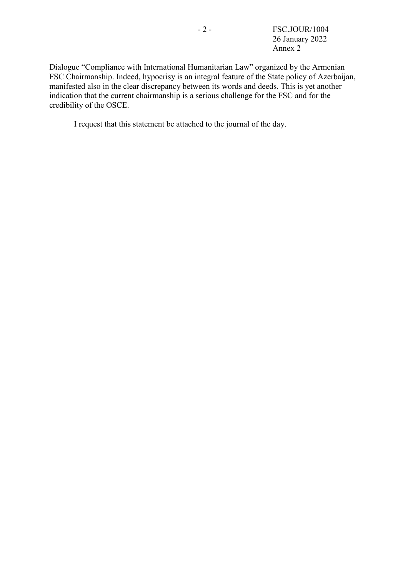- 2 - FSC.JOUR/1004 26 January 2022 Annex 2

Dialogue "Compliance with International Humanitarian Law" organized by the Armenian FSC Chairmanship. Indeed, hypocrisy is an integral feature of the State policy of Azerbaijan, manifested also in the clear discrepancy between its words and deeds. This is yet another indication that the current chairmanship is a serious challenge for the FSC and for the credibility of the OSCE.

I request that this statement be attached to the journal of the day.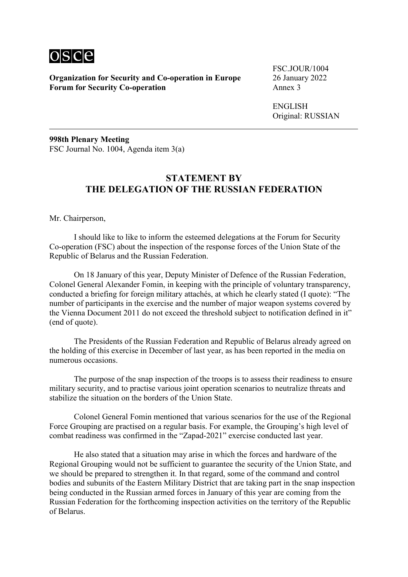

FSC.JOUR/1004

ENGLISH Original: RUSSIAN

**998th Plenary Meeting** FSC Journal No. 1004, Agenda item 3(a)

# **STATEMENT BY THE DELEGATION OF THE RUSSIAN FEDERATION**

Mr. Chairperson,

I should like to like to inform the esteemed delegations at the Forum for Security Co‑operation (FSC) about the inspection of the response forces of the Union State of the Republic of Belarus and the Russian Federation.

On 18 January of this year, Deputy Minister of Defence of the Russian Federation, Colonel General Alexander Fomin, in keeping with the principle of voluntary transparency, conducted a briefing for foreign military attachés, at which he clearly stated (I quote): "The number of participants in the exercise and the number of major weapon systems covered by the Vienna Document 2011 do not exceed the threshold subject to notification defined in it" (end of quote).

The Presidents of the Russian Federation and Republic of Belarus already agreed on the holding of this exercise in December of last year, as has been reported in the media on numerous occasions.

The purpose of the snap inspection of the troops is to assess their readiness to ensure military security, and to practise various joint operation scenarios to neutralize threats and stabilize the situation on the borders of the Union State.

Colonel General Fomin mentioned that various scenarios for the use of the Regional Force Grouping are practised on a regular basis. For example, the Grouping's high level of combat readiness was confirmed in the "Zapad-2021" exercise conducted last year.

He also stated that a situation may arise in which the forces and hardware of the Regional Grouping would not be sufficient to guarantee the security of the Union State, and we should be prepared to strengthen it. In that regard, some of the command and control bodies and subunits of the Eastern Military District that are taking part in the snap inspection being conducted in the Russian armed forces in January of this year are coming from the Russian Federation for the forthcoming inspection activities on the territory of the Republic of Belarus.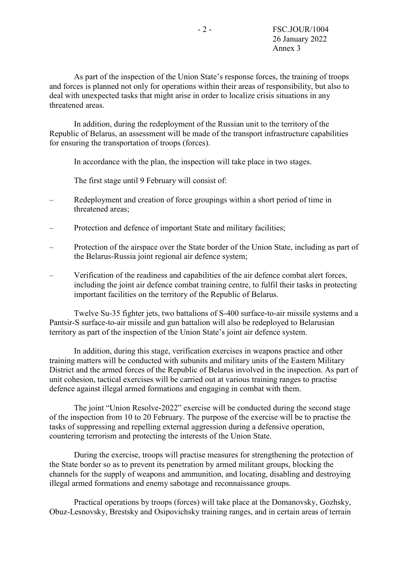As part of the inspection of the Union State's response forces, the training of troops and forces is planned not only for operations within their areas of responsibility, but also to deal with unexpected tasks that might arise in order to localize crisis situations in any threatened areas.

In addition, during the redeployment of the Russian unit to the territory of the Republic of Belarus, an assessment will be made of the transport infrastructure capabilities for ensuring the transportation of troops (forces).

In accordance with the plan, the inspection will take place in two stages.

The first stage until 9 February will consist of:

- Redeployment and creation of force groupings within a short period of time in threatened areas;
- Protection and defence of important State and military facilities;
- Protection of the airspace over the State border of the Union State, including as part of the Belarus‑Russia joint regional air defence system;
- Verification of the readiness and capabilities of the air defence combat alert forces, including the joint air defence combat training centre, to fulfil their tasks in protecting important facilities on the territory of the Republic of Belarus.

Twelve Su-35 fighter jets, two battalions of S-400 surface-to-air missile systems and a Pantsir-S surface-to-air missile and gun battalion will also be redeployed to Belarusian territory as part of the inspection of the Union State's joint air defence system.

In addition, during this stage, verification exercises in weapons practice and other training matters will be conducted with subunits and military units of the Eastern Military District and the armed forces of the Republic of Belarus involved in the inspection. As part of unit cohesion, tactical exercises will be carried out at various training ranges to practise defence against illegal armed formations and engaging in combat with them.

The joint "Union Resolve-2022" exercise will be conducted during the second stage of the inspection from 10 to 20 February. The purpose of the exercise will be to practise the tasks of suppressing and repelling external aggression during a defensive operation, countering terrorism and protecting the interests of the Union State.

During the exercise, troops will practise measures for strengthening the protection of the State border so as to prevent its penetration by armed militant groups, blocking the channels for the supply of weapons and ammunition, and locating, disabling and destroying illegal armed formations and enemy sabotage and reconnaissance groups.

Practical operations by troops (forces) will take place at the Domanovsky, Gozhsky, Obuz‑Lesnovsky, Brestsky and Osipovichsky training ranges, and in certain areas of terrain